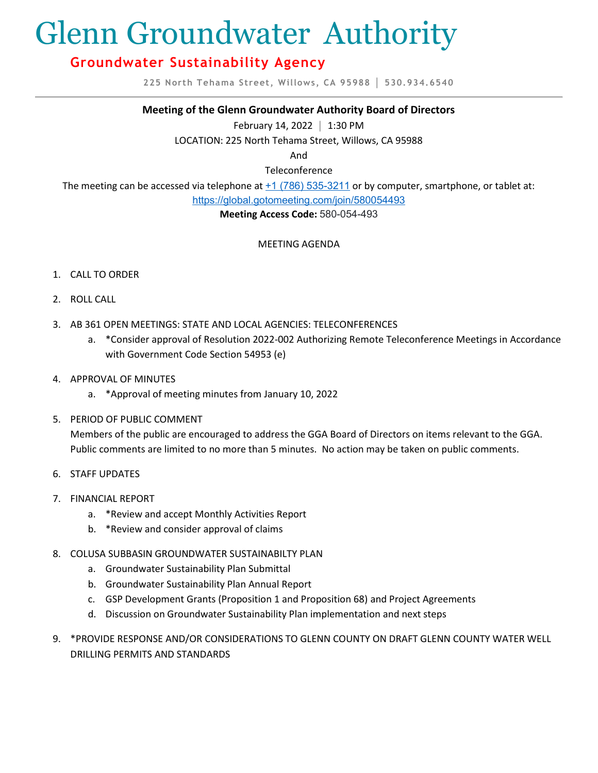# Glenn Groundwater Authority

# **Groundwater Sustainability Agency**

**225 North Tehama Street, Willows, CA 95988 │ 530.934.6540**

# **Meeting of the Glenn Groundwater Authority Board of Directors**

February 14, 2022 **│** 1:30 PM

LOCATION: 225 North Tehama Street, Willows, CA 95988

And

Teleconference

The meeting can be accessed via telephone at [+1 \(786\) 535-3211](tel:+17865353211,,580054493) or by computer, smartphone, or tablet at:

<https://global.gotomeeting.com/join/580054493>

**Meeting Access Code:** 580-054-493

## MEETING AGENDA

- 1. CALL TO ORDER
- 2. ROLL CALL
- 3. AB 361 OPEN MEETINGS: STATE AND LOCAL AGENCIES: TELECONFERENCES
	- a. \*Consider approval of Resolution 2022-002 Authorizing Remote Teleconference Meetings in Accordance with Government Code Section 54953 (e)
- 4. APPROVAL OF MINUTES
	- a. \*Approval of meeting minutes from January 10, 2022
- 5. PERIOD OF PUBLIC COMMENT

Members of the public are encouraged to address the GGA Board of Directors on items relevant to the GGA. Public comments are limited to no more than 5 minutes. No action may be taken on public comments.

- 6. STAFF UPDATES
- 7. FINANCIAL REPORT
	- a. \*Review and accept Monthly Activities Report
	- b. \*Review and consider approval of claims
- 8. COLUSA SUBBASIN GROUNDWATER SUSTAINABILTY PLAN
	- a. Groundwater Sustainability Plan Submittal
	- b. Groundwater Sustainability Plan Annual Report
	- c. GSP Development Grants (Proposition 1 and Proposition 68) and Project Agreements
	- d. Discussion on Groundwater Sustainability Plan implementation and next steps
- 9. \*PROVIDE RESPONSE AND/OR CONSIDERATIONS TO GLENN COUNTY ON DRAFT GLENN COUNTY WATER WELL DRILLING PERMITS AND STANDARDS